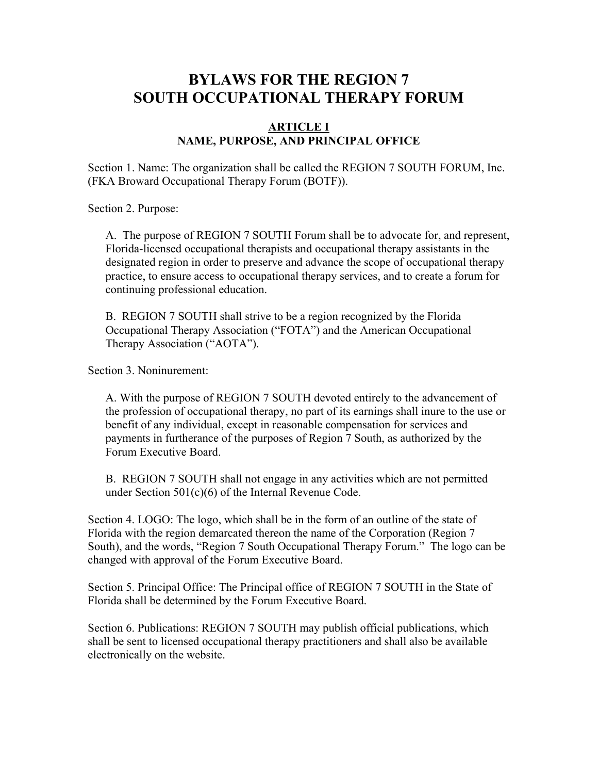# **BYLAWS FOR THE REGION 7 SOUTH OCCUPATIONAL THERAPY FORUM**

#### **ARTICLE I NAME, PURPOSE, AND PRINCIPAL OFFICE**

Section 1. Name: The organization shall be called the REGION 7 SOUTH FORUM, Inc. (FKA Broward Occupational Therapy Forum (BOTF)).

Section 2. Purpose:

A. The purpose of REGION 7 SOUTH Forum shall be to advocate for, and represent, Florida-licensed occupational therapists and occupational therapy assistants in the designated region in order to preserve and advance the scope of occupational therapy practice, to ensure access to occupational therapy services, and to create a forum for continuing professional education.

B. REGION 7 SOUTH shall strive to be a region recognized by the Florida Occupational Therapy Association ("FOTA") and the American Occupational Therapy Association ("AOTA").

Section 3. Noninurement:

A. With the purpose of REGION 7 SOUTH devoted entirely to the advancement of the profession of occupational therapy, no part of its earnings shall inure to the use or benefit of any individual, except in reasonable compensation for services and payments in furtherance of the purposes of Region 7 South, as authorized by the Forum Executive Board.

B. REGION 7 SOUTH shall not engage in any activities which are not permitted under Section 501(c)(6) of the Internal Revenue Code.

Section 4. LOGO: The logo, which shall be in the form of an outline of the state of Florida with the region demarcated thereon the name of the Corporation (Region 7 South), and the words, "Region 7 South Occupational Therapy Forum." The logo can be changed with approval of the Forum Executive Board.

Section 5. Principal Office: The Principal office of REGION 7 SOUTH in the State of Florida shall be determined by the Forum Executive Board.

Section 6. Publications: REGION 7 SOUTH may publish official publications, which shall be sent to licensed occupational therapy practitioners and shall also be available electronically on the website.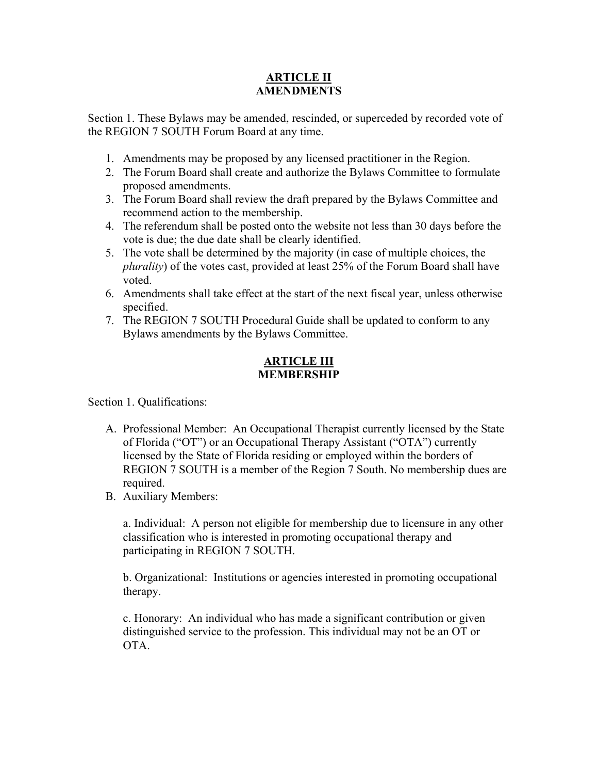#### **ARTICLE II AMENDMENTS**

Section 1. These Bylaws may be amended, rescinded, or superceded by recorded vote of the REGION 7 SOUTH Forum Board at any time.

- 1. Amendments may be proposed by any licensed practitioner in the Region.
- 2. The Forum Board shall create and authorize the Bylaws Committee to formulate proposed amendments.
- 3. The Forum Board shall review the draft prepared by the Bylaws Committee and recommend action to the membership.
- 4. The referendum shall be posted onto the website not less than 30 days before the vote is due; the due date shall be clearly identified.
- 5. The vote shall be determined by the majority (in case of multiple choices, the *plurality*) of the votes cast, provided at least 25% of the Forum Board shall have voted.
- 6. Amendments shall take effect at the start of the next fiscal year, unless otherwise specified.
- 7. The REGION 7 SOUTH Procedural Guide shall be updated to conform to any Bylaws amendments by the Bylaws Committee.

## **ARTICLE III MEMBERSHIP**

Section 1. Qualifications:

- A. Professional Member: An Occupational Therapist currently licensed by the State of Florida ("OT") or an Occupational Therapy Assistant ("OTA") currently licensed by the State of Florida residing or employed within the borders of REGION 7 SOUTH is a member of the Region 7 South. No membership dues are required.
- B. Auxiliary Members:

a. Individual: A person not eligible for membership due to licensure in any other classification who is interested in promoting occupational therapy and participating in REGION 7 SOUTH.

b. Organizational: Institutions or agencies interested in promoting occupational therapy.

c. Honorary: An individual who has made a significant contribution or given distinguished service to the profession. This individual may not be an OT or OTA.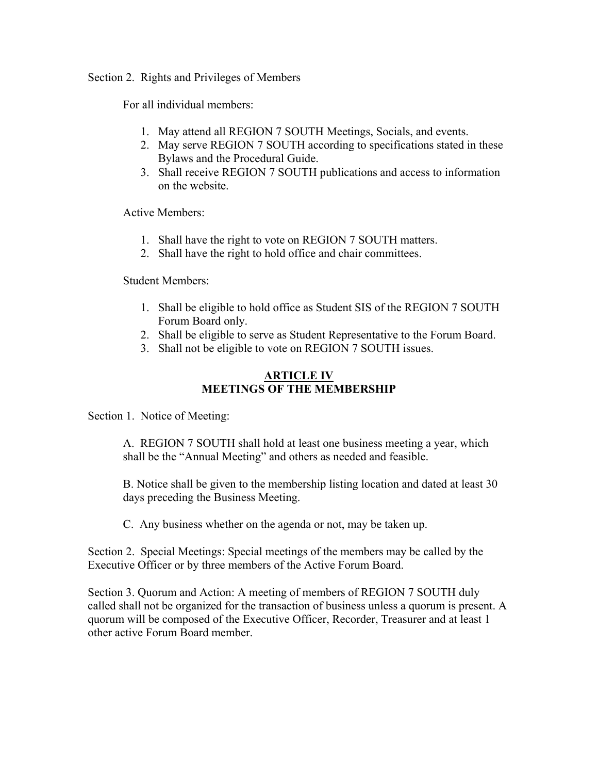Section 2. Rights and Privileges of Members

For all individual members:

- 1. May attend all REGION 7 SOUTH Meetings, Socials, and events.
- 2. May serve REGION 7 SOUTH according to specifications stated in these Bylaws and the Procedural Guide.
- 3. Shall receive REGION 7 SOUTH publications and access to information on the website.

Active Members:

- 1. Shall have the right to vote on REGION 7 SOUTH matters.
- 2. Shall have the right to hold office and chair committees.

Student Members:

- 1. Shall be eligible to hold office as Student SIS of the REGION 7 SOUTH Forum Board only.
- 2. Shall be eligible to serve as Student Representative to the Forum Board.
- 3. Shall not be eligible to vote on REGION 7 SOUTH issues.

### **ARTICLE IV MEETINGS OF THE MEMBERSHIP**

Section 1. Notice of Meeting:

A. REGION 7 SOUTH shall hold at least one business meeting a year, which shall be the "Annual Meeting" and others as needed and feasible.

B. Notice shall be given to the membership listing location and dated at least 30 days preceding the Business Meeting.

C. Any business whether on the agenda or not, may be taken up.

Section 2. Special Meetings: Special meetings of the members may be called by the Executive Officer or by three members of the Active Forum Board.

Section 3. Quorum and Action: A meeting of members of REGION 7 SOUTH duly called shall not be organized for the transaction of business unless a quorum is present. A quorum will be composed of the Executive Officer, Recorder, Treasurer and at least 1 other active Forum Board member.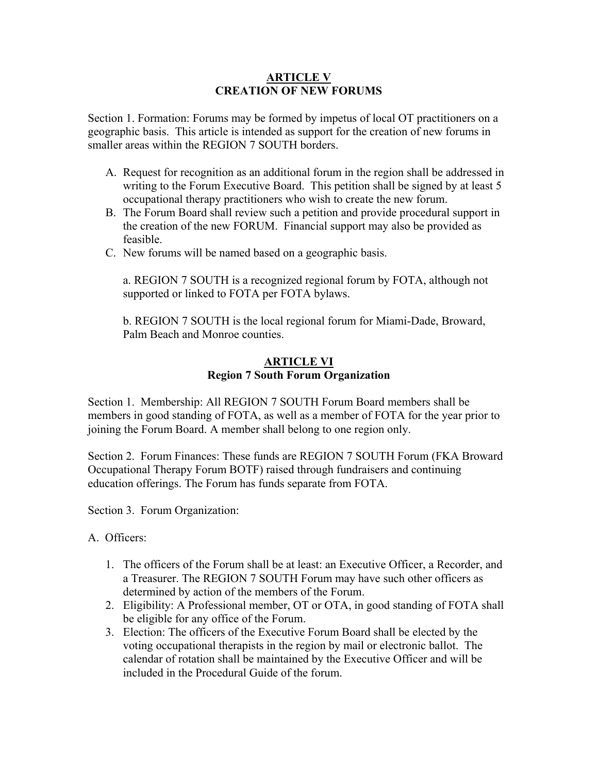#### **ARTICLE V CREATION OF NEW FORUMS**

Section 1. Formation: Forums may be formed by impetus of local OT practitioners on a geographic basis. This article is intended as support for the creation of new forums in smaller areas within the REGION 7 SOUTH borders.

- A. Request for recognition as an additional forum in the region shall be addressed in writing to the Forum Executive Board. This petition shall be signed by at least 5 occupational therapy practitioners who wish to create the new forum.
- B. The Forum Board shall review such a petition and provide procedural support in the creation of the new FORUM. Financial support may also be provided as feasible.
- C. New forums will be named based on a geographic basis.

a. REGION 7 SOUTH is a recognized regional forum by FOTA, although not supported or linked to FOTA per FOTA bylaws.

b. REGION 7 SOUTH is the local regional forum for Miami-Dade, Broward, Palm Beach and Monroe counties.

#### **ARTICLE VI Region 7 South Forum Organization**

Section 1. Membership: All REGION 7 SOUTH Forum Board members shall be members in good standing of FOTA, as well as a member of FOTA for the year prior to joining the Forum Board. A member shall belong to one region only.

Section 2. Forum Finances: These funds are REGION 7 SOUTH Forum (FKA Broward Occupational Therapy Forum BOTF) raised through fundraisers and continuing education offerings. The Forum has funds separate from FOTA.

Section 3. Forum Organization:

A. Officers:

- 1. The officers of the Forum shall be at least: an Executive Officer, a Recorder, and a Treasurer. The REGION 7 SOUTH Forum may have such other officers as determined by action of the members of the Forum.
- 2. Eligibility: A Professional member, OT or OTA, in good standing of FOTA shall be eligible for any office of the Forum.
- 3. Election: The officers of the Executive Forum Board shall be elected by the voting occupational therapists in the region by mail or electronic ballot. The calendar of rotation shall be maintained by the Executive Officer and will be included in the Procedural Guide of the forum.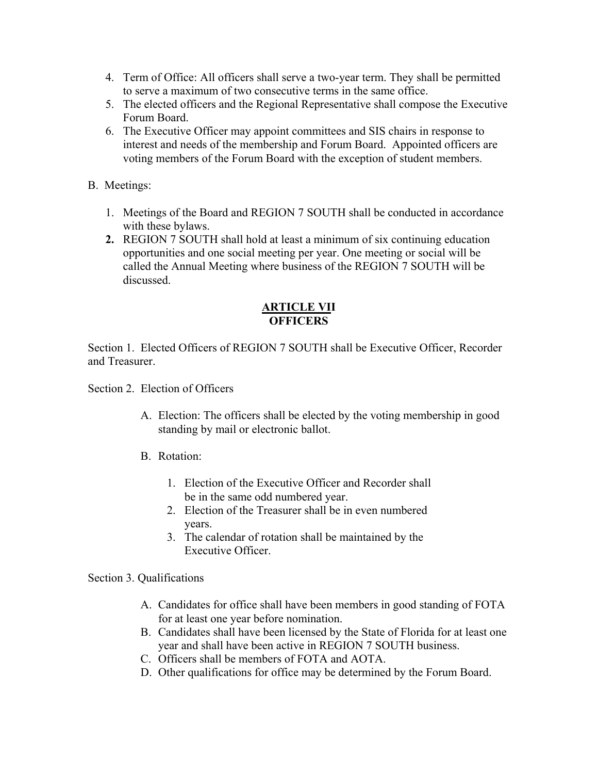- 4. Term of Office: All officers shall serve a two-year term. They shall be permitted to serve a maximum of two consecutive terms in the same office.
- 5. The elected officers and the Regional Representative shall compose the Executive Forum Board.
- 6. The Executive Officer may appoint committees and SIS chairs in response to interest and needs of the membership and Forum Board. Appointed officers are voting members of the Forum Board with the exception of student members.
- B. Meetings:
	- 1. Meetings of the Board and REGION 7 SOUTH shall be conducted in accordance with these bylaws.
	- **2.** REGION 7 SOUTH shall hold at least a minimum of six continuing education opportunities and one social meeting per year. One meeting or social will be called the Annual Meeting where business of the REGION 7 SOUTH will be discussed.

#### **ARTICLE VII OFFICERS**

Section 1. Elected Officers of REGION 7 SOUTH shall be Executive Officer, Recorder and Treasurer.

Section 2. Election of Officers

- A. Election: The officers shall be elected by the voting membership in good standing by mail or electronic ballot.
- B. Rotation:
	- 1. Election of the Executive Officer and Recorder shall be in the same odd numbered year.
	- 2. Election of the Treasurer shall be in even numbered years.
	- 3. The calendar of rotation shall be maintained by the Executive Officer.

Section 3. Qualifications

- A. Candidates for office shall have been members in good standing of FOTA for at least one year before nomination.
- B. Candidates shall have been licensed by the State of Florida for at least one year and shall have been active in REGION 7 SOUTH business.
- C. Officers shall be members of FOTA and AOTA.
- D. Other qualifications for office may be determined by the Forum Board.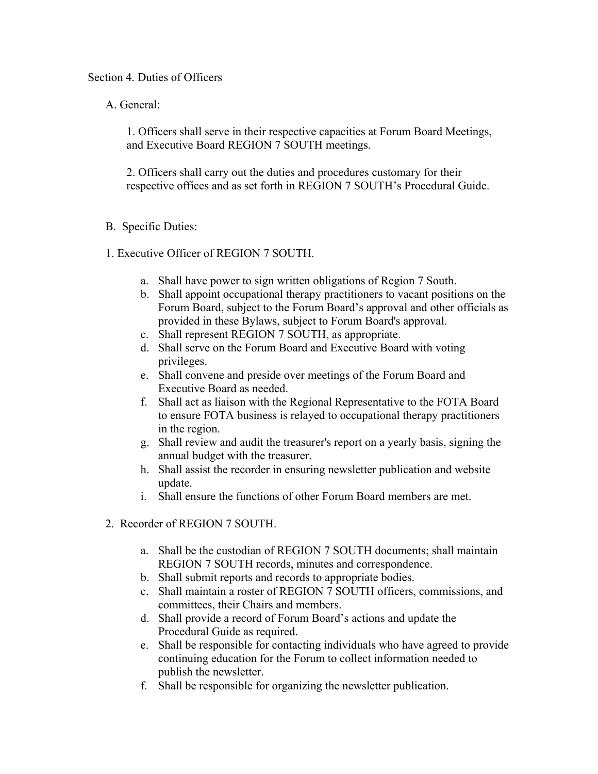#### Section 4. Duties of Officers

A. General:

1. Officers shall serve in their respective capacities at Forum Board Meetings, and Executive Board REGION 7 SOUTH meetings.

2. Officers shall carry out the duties and procedures customary for their respective offices and as set forth in REGION 7 SOUTH's Procedural Guide.

- B. Specific Duties:
- 1. Executive Officer of REGION 7 SOUTH.
	- a. Shall have power to sign written obligations of Region 7 South.
	- b. Shall appoint occupational therapy practitioners to vacant positions on the Forum Board, subject to the Forum Board's approval and other officials as provided in these Bylaws, subject to Forum Board's approval.
	- c. Shall represent REGION 7 SOUTH, as appropriate.
	- d. Shall serve on the Forum Board and Executive Board with voting privileges.
	- e. Shall convene and preside over meetings of the Forum Board and Executive Board as needed.
	- f. Shall act as liaison with the Regional Representative to the FOTA Board to ensure FOTA business is relayed to occupational therapy practitioners in the region.
	- g. Shall review and audit the treasurer's report on a yearly basis, signing the annual budget with the treasurer.
	- h. Shall assist the recorder in ensuring newsletter publication and website update.
	- i. Shall ensure the functions of other Forum Board members are met.
- 2. Recorder of REGION 7 SOUTH.
	- a. Shall be the custodian of REGION 7 SOUTH documents; shall maintain REGION 7 SOUTH records, minutes and correspondence.
	- b. Shall submit reports and records to appropriate bodies.
	- c. Shall maintain a roster of REGION 7 SOUTH officers, commissions, and committees, their Chairs and members.
	- d. Shall provide a record of Forum Board's actions and update the Procedural Guide as required.
	- e. Shall be responsible for contacting individuals who have agreed to provide continuing education for the Forum to collect information needed to publish the newsletter.
	- f. Shall be responsible for organizing the newsletter publication.